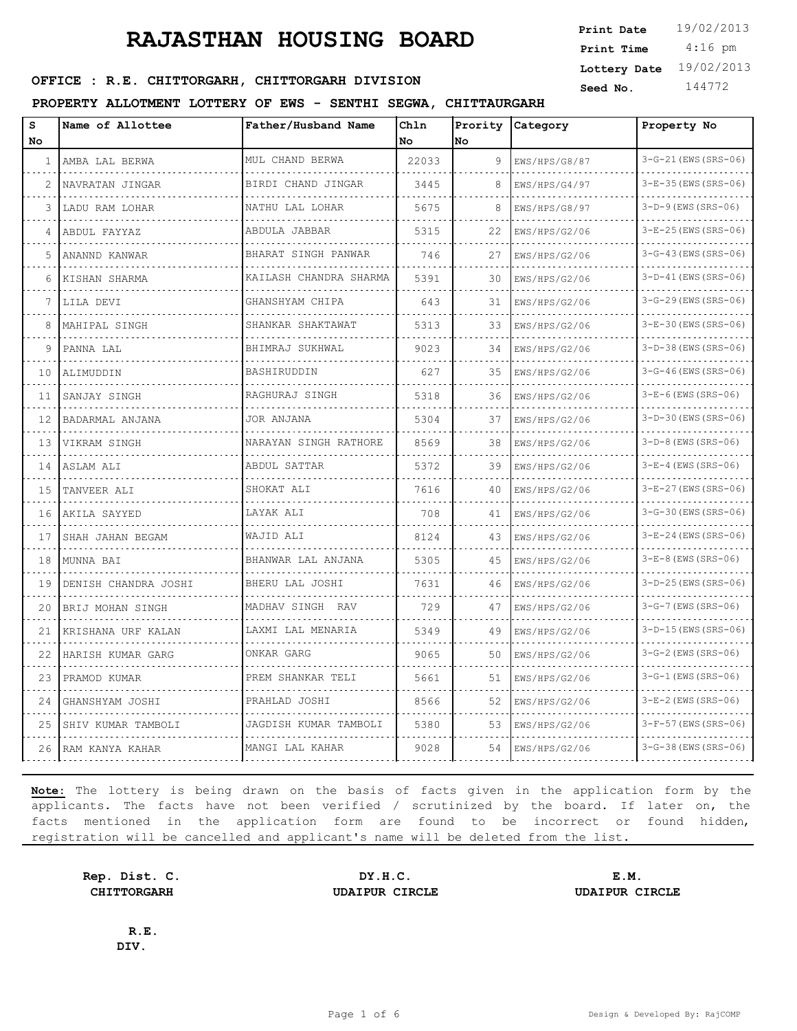4:16 pm **Print Date**  $19/02/2013$ **Print Time Lottery Date** 19/02/2013

#### **SEED OFFICE : R.E. CHITTORGARH, CHITTORGARH DIVISION** Seed No. 144772

**PROPERTY ALLOTMENT LOTTERY OF EWS - SENTHI SEGWA, CHITTAURGARH**

| s<br>No | Name of Allottee     | Father/Husband Name    | Chln<br>No | Prority<br><b>No</b> | Category      | Property No            |
|---------|----------------------|------------------------|------------|----------------------|---------------|------------------------|
| 1       | AMBA LAL BERWA       | MUL CHAND BERWA        | 22033      | 9                    | EWS/HPS/G8/87 | $3-G-21$ (EWS (SRS-06) |
| 2       | NAVRATAN JINGAR      | BIRDI CHAND JINGAR     | 3445       | 8                    | EWS/HPS/G4/97 | $3-E-35$ (EWS (SRS-06) |
| 3       | LADU RAM LOHAR       | NATHU LAL LOHAR        | 5675       | 8                    | EWS/HPS/G8/97 | $3-D-9$ (EWS (SRS-06)  |
| 4       | ABDUL FAYYAZ         | ABDULA JABBAR          | 5315       | 22                   | EWS/HPS/G2/06 | $3-E-25$ (EWS (SRS-06) |
| 5       | ANANND KANWAR        | BHARAT SINGH PANWAR    | 746        | 27                   | EWS/HPS/G2/06 | $3-G-43$ (EWS (SRS-06) |
| 6       | KISHAN SHARMA        | KAILASH CHANDRA SHARMA | 5391       | 30                   | EWS/HPS/G2/06 | $3-D-41$ (EWS (SRS-06) |
|         | LILA DEVI            | GHANSHYAM CHIPA        | 643        | 31                   | EWS/HPS/G2/06 | $3-G-29$ (EWS (SRS-06) |
| 8       | MAHIPAL SINGH        | SHANKAR SHAKTAWAT      | 5313       | 33                   | EWS/HPS/G2/06 | $3-E-30$ (EWS (SRS-06) |
| 9       | PANNA LAL            | BHIMRAJ SUKHWAL        | 9023       | 34                   | EWS/HPS/G2/06 | $3-D-38$ (EWS (SRS-06) |
| 10      | ALIMUDDIN            | BASHIRUDDIN            | 627        | 35                   | EWS/HPS/G2/06 | $3-G-46$ (EWS (SRS-06) |
| 11      | SANJAY SINGH         | RAGHURAJ SINGH         | 5318       | 36                   | EWS/HPS/G2/06 | $3-E-6$ (EWS (SRS-06)  |
| 12      | BADARMAL ANJANA      | JOR ANJANA             | 5304       | 37                   | EWS/HPS/G2/06 | $3-D-30$ (EWS (SRS-06) |
| 13      | VIKRAM SINGH         | NARAYAN SINGH RATHORE  | 8569       | 38                   | EWS/HPS/G2/06 | $3-D-8$ (EWS (SRS-06)  |
| 14      | ASLAM ALI            | ABDUL SATTAR           | 5372       | 39                   | EWS/HPS/G2/06 | $3-E-4$ (EWS (SRS-06)  |
| 15      | TANVEER ALI          | SHOKAT ALI             | 7616       | 40                   | EWS/HPS/G2/06 | $3-E-27$ (EWS (SRS-06) |
| 16      | AKILA SAYYED         | LAYAK ALI              | 708        | 41                   | EWS/HPS/G2/06 | 3-G-30 (EWS (SRS-06)   |
| 17      | SHAH JAHAN BEGAM     | WAJID ALI              | 8124       | 43                   | EWS/HPS/G2/06 | $3-E-24$ (EWS (SRS-06) |
| 18      | MUNNA BAI            | BHANWAR LAL ANJANA     | 5305       | 45                   | EWS/HPS/G2/06 | $3-E-8$ (EWS (SRS-06)  |
| 19      | DENISH CHANDRA JOSHI | BHERU LAL JOSHI        | 7631       | 46                   | EWS/HPS/G2/06 | $3-D-25$ (EWS (SRS-06) |
| 20      | BRIJ MOHAN SINGH     | MADHAV SINGH RAV       | 729        | 47                   | EWS/HPS/G2/06 | $3-G-7$ (EWS (SRS-06)  |
| 21      | KRISHANA URF KALAN   | LAXMI LAL MENARIA      | 5349       | 49                   | EWS/HPS/G2/06 | $3-D-15$ (EWS (SRS-06) |
| 22      | HARISH KUMAR GARG    | ONKAR GARG             | 9065       | 50                   | EWS/HPS/G2/06 | $3-G-2$ (EWS (SRS-06)  |
| 23      | PRAMOD KUMAR         | PREM SHANKAR TELI      | 5661       | 51                   | EWS/HPS/G2/06 | $3-G-1$ (EWS (SRS-06)  |
| 24      | GHANSHYAM JOSHI      | PRAHLAD JOSHI          | 8566       | 52                   | EWS/HPS/G2/06 | $3-E-2$ (EWS (SRS-06)  |
| 25      | SHIV KUMAR TAMBOLI   | JAGDISH KUMAR TAMBOLI  | 5380       | 53                   | EWS/HPS/G2/06 | $3-F-57$ (EWS (SRS-06) |
| 26      | RAM KANYA KAHAR      | MANGI LAL KAHAR        | 9028       | 54                   | EWS/HPS/G2/06 | $3-G-38$ (EWS (SRS-06) |

**Note:** The lottery is being drawn on the basis of facts given in the application form by the applicants. The facts have not been verified / scrutinized by the board. If later on, the facts mentioned in the application form are found to be incorrect or found hidden, registration will be cancelled and applicant's name will be deleted from the list.

**Rep. Dist. C. DY.H.C. E.M. CHITTORGARH UDAIPUR CIRCLE UDAIPUR CIRCLE**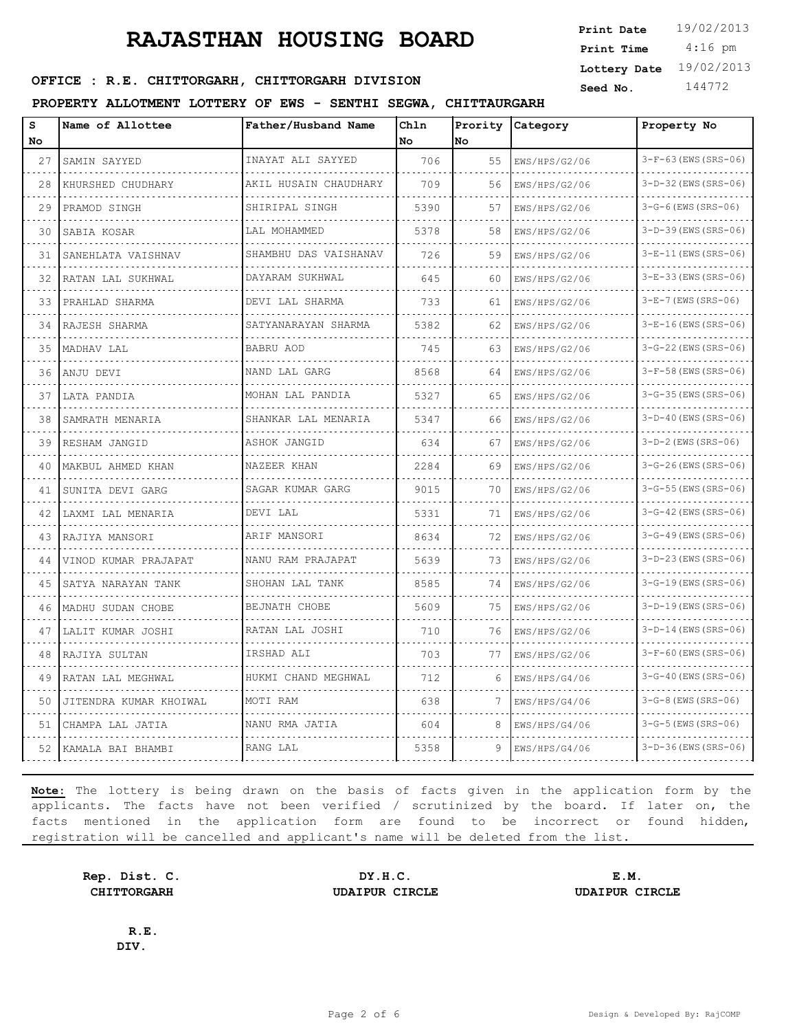4:16 pm **Print Date**  $19/02/2013$ **Print Time Lottery Date** 19/02/2013

#### **SEED OFFICE : R.E. CHITTORGARH, CHITTORGARH DIVISION** Seed No. 144772

**PROPERTY ALLOTMENT LOTTERY OF EWS - SENTHI SEGWA, CHITTAURGARH**

| s<br>No | Name of Allottee          | Father/Husband Name                 | Chln<br>No | Prority<br>No | Category      | Property No            |
|---------|---------------------------|-------------------------------------|------------|---------------|---------------|------------------------|
| 27      | SAMIN SAYYED              | INAYAT ALI SAYYED                   | 706        | 55            | EWS/HPS/G2/06 | $3-F-63$ (EWS (SRS-06) |
| 28      | KHURSHED CHUDHARY         | AKIL HUSAIN CHAUDHARY               | 709        | 56            | EWS/HPS/G2/06 | $3-D-32$ (EWS (SRS-06) |
| 29      | PRAMOD SINGH              | SHIRIPAL SINGH                      | 5390       | 57            | EWS/HPS/G2/06 | $3-G-6$ (EWS (SRS-06)  |
| 30      | SABIA KOSAR               | LAL MOHAMMED                        | 5378       | 58            | EWS/HPS/G2/06 | $3-D-39$ (EWS (SRS-06) |
| 31      | SANEHLATA VAISHNAV        | SHAMBHU DAS VAISHANAV               | 726        | 59            | EWS/HPS/G2/06 | $3-E-11$ (EWS (SRS-06) |
| 32      | RATAN LAL SUKHWAL         | DAYARAM SUKHWAL                     | 645        | 60            | EWS/HPS/G2/06 | $3-E-33$ (EWS (SRS-06) |
| 33      | PRAHLAD SHARMA            | DEVI LAL SHARMA                     | 733        | 61            | EWS/HPS/G2/06 | $3-E-7$ (EWS (SRS-06)  |
| 34      | RAJESH SHARMA             | SATYANARAYAN SHARMA                 | 5382       | 62            | EWS/HPS/G2/06 | $3-E-16$ (EWS (SRS-06) |
| 35      | MADHAV LAL                | <b>BABRU AOD</b>                    | 745        | 63            | EWS/HPS/G2/06 | $3-G-22$ (EWS (SRS-06) |
| 36      | ANJU DEVI                 | NAND LAL GARG                       | 8568       | 64            | EWS/HPS/G2/06 | $3-F-58$ (EWS (SRS-06) |
| 37      | LATA PANDIA               | MOHAN LAL PANDIA                    | 5327       | 65            | EWS/HPS/G2/06 | $3-G-35$ (EWS (SRS-06) |
| 38      | SAMRATH MENARIA           | SHANKAR LAL MENARIA                 | 5347       | 66            | EWS/HPS/G2/06 | $3-D-40$ (EWS (SRS-06) |
| 39      | RESHAM JANGID             | ASHOK JANGID<br>and a strategic and | 634        | 67            | EWS/HPS/G2/06 | $3-D-2$ (EWS (SRS-06)  |
| 40      | MAKBUL AHMED KHAN         | NAZEER KHAN                         | 2284       | 69            | EWS/HPS/G2/06 | $3-G-26$ (EWS (SRS-06) |
| 41      | SUNITA DEVI GARG          | SAGAR KUMAR GARG                    | 9015       | 70            | EWS/HPS/G2/06 | $3-G-55$ (EWS (SRS-06) |
| 42      | LAXMI LAL MENARIA         | DEVI LAL                            | 5331       | 71            | EWS/HPS/G2/06 | $3-G-42$ (EWS (SRS-06) |
| 43      | RAJIYA MANSORI            | ARIF MANSORI                        | 8634       | 72            | EWS/HPS/G2/06 | $3-G-49$ (EWS (SRS-06) |
| 44      | VINOD KUMAR PRAJAPAT<br>. | NANU RAM PRAJAPAT                   | 5639       | 73            | EWS/HPS/G2/06 | $3-D-23$ (EWS (SRS-06) |
| 45      | SATYA NARAYAN TANK        | SHOHAN LAL TANK                     | 8585       | 74            | EWS/HPS/G2/06 | $3-G-19$ (EWS (SRS-06) |
| 46      | MADHU SUDAN CHOBE         | BEJNATH CHOBE                       | 5609       | 75            | EWS/HPS/G2/06 | $3-D-19$ (EWS (SRS-06) |
| 47      | LALIT KUMAR JOSHI         | RATAN LAL JOSHI                     | 710        | 76            | EWS/HPS/G2/06 | $3-D-14$ (EWS (SRS-06) |
| 48      | RAJIYA SULTAN             | IRSHAD ALI                          | 703        | 77            | EWS/HPS/G2/06 | $3-F-60$ (EWS (SRS-06) |
| 49      | RATAN LAL MEGHWAL         | HUKMI CHAND MEGHWAL                 | 712        | 6             | EWS/HPS/G4/06 | $3-G-40$ (EWS (SRS-06) |
| 50      | JITENDRA KUMAR KHOIWAL    | MOTI RAM                            | 638        | 7             | EWS/HPS/G4/06 | $3-G-8$ (EWS (SRS-06)  |
| 51      | CHAMPA LAL JATIA          | NANU RMA JATIA                      | 604        | 8             | EWS/HPS/G4/06 | $3-G-5$ (EWS (SRS-06)  |
| 52      | KAMALA BAI BHAMBI         | RANG LAL                            | 5358       | 9             | EWS/HPS/G4/06 | $3-D-36$ (EWS (SRS-06) |

**Note:** The lottery is being drawn on the basis of facts given in the application form by the applicants. The facts have not been verified / scrutinized by the board. If later on, the facts mentioned in the application form are found to be incorrect or found hidden, registration will be cancelled and applicant's name will be deleted from the list.

**Rep. Dist. C. DY.H.C. E.M. CHITTORGARH UDAIPUR CIRCLE UDAIPUR CIRCLE**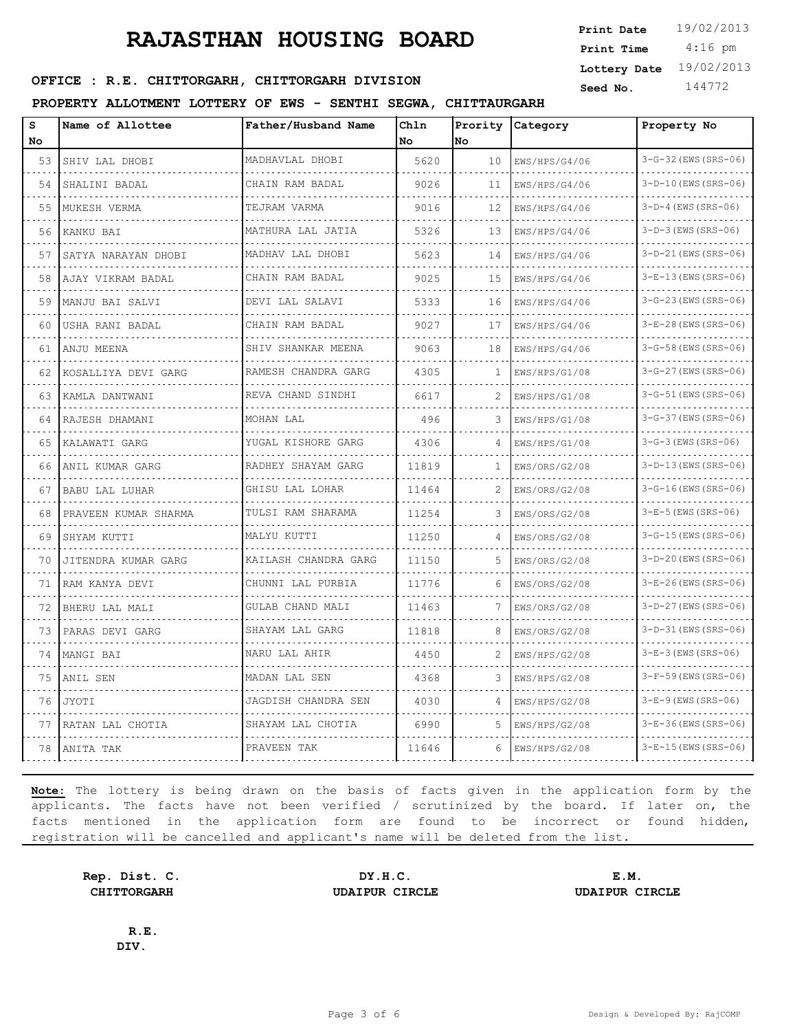4:16 pm **Print Date**  $19/02/2013$ **Print Time Lottery Date** 19/02/2013

#### **SEED OFFICE : R.E. CHITTORGARH, CHITTORGARH DIVISION** Seed No. 144772

**PROPERTY ALLOTMENT LOTTERY OF EWS - SENTHI SEGWA, CHITTAURGARH**

| s  | Name of Allottee      | Father/Husband Name  | Ch1n  | Prority | Category      | Property No            |
|----|-----------------------|----------------------|-------|---------|---------------|------------------------|
| No |                       |                      | No.   | No      |               |                        |
| 53 | SHIV LAL DHOBI        | MADHAVLAL DHOBI      | 5620  | 10      | EWS/HPS/G4/06 | $3-G-32$ (EWS (SRS-06) |
| 54 | SHALINI BADAL         | CHAIN RAM BADAL      | 9026  | 11      | EWS/HPS/G4/06 | $3-D-10$ (EWS (SRS-06) |
| 55 | MUKESH VERMA          | TEJRAM VARMA         | 9016  | 12      | EWS/HPS/G4/06 | $3-D-4$ (EWS (SRS-06)  |
| 56 | KANKU BAI             | MATHURA LAL JATIA    | 5326  | 13      | EWS/HPS/G4/06 | $3-D-3$ (EWS (SRS-06)  |
| 57 | SATYA NARAYAN DHOBI   | MADHAV LAL DHOBI     | 5623  | 14      | EWS/HPS/G4/06 | $3-D-21$ (EWS (SRS-06) |
| 58 | AJAY VIKRAM BADAL     | CHAIN RAM BADAL      | 9025  | 15      | EWS/HPS/G4/06 | $3-E-13$ (EWS (SRS-06) |
| 59 | MANJU BAI SALVI       | DEVI LAL SALAVI      | 5333  | 16      | EWS/HPS/G4/06 | $3-G-23$ (EWS (SRS-06) |
| 60 | USHA RANI BADAL       | CHAIN RAM BADAL      | 9027  | 17      | EWS/HPS/G4/06 | $3-E-28$ (EWS (SRS-06) |
| 61 | ANJU MEENA            | SHIV SHANKAR MEENA   | 9063  | 18      | EWS/HPS/G4/06 | $3-G-58$ (EWS (SRS-06) |
| 62 | KOSALLIYA DEVI GARG   | RAMESH CHANDRA GARG  | 4305  | -1      | EWS/HPS/G1/08 | $3-G-27$ (EWS (SRS-06) |
| 63 | KAMLA DANTWANI        | REVA CHAND SINDHI    | 6617  | 2       | EWS/HPS/G1/08 | $3-G-51$ (EWS (SRS-06) |
| 64 | RAJESH DHAMANI        | MOHAN LAL            | 496   | 3       | EWS/HPS/G1/08 | $3-G-37$ (EWS (SRS-06) |
| 65 | KALAWATI GARG         | YUGAL KISHORE GARG   | 4306  | 4       | EWS/HPS/G1/08 | $3-G-3$ (EWS (SRS-06)  |
| 66 | ANIL KUMAR GARG       | RADHEY SHAYAM GARG   | 11819 | 1       | EWS/ORS/G2/08 | $3-D-13$ (EWS (SRS-06) |
| 67 | <b>BABU LAL LUHAR</b> | GHISU LAL LOHAR      | 11464 | 2       | EWS/ORS/G2/08 | $3-G-16$ (EWS (SRS-06) |
| 68 | PRAVEEN KUMAR SHARMA  | TULSI RAM SHARAMA    | 11254 | 3       | EWS/ORS/G2/08 | $3-E-5$ (EWS (SRS-06)  |
| 69 | SHYAM KUTTI           | MALYU KUTTI          | 11250 | 4       | EWS/ORS/G2/08 | $3-G-15$ (EWS (SRS-06) |
| 70 | JITENDRA KUMAR GARG   | KAILASH CHANDRA GARG | 11150 | 5       | EWS/ORS/G2/08 | $3-D-20$ (EWS (SRS-06) |
| 71 | RAM KANYA DEVI        | CHUNNI LAL PURBIA    | 11776 | 6       | EWS/ORS/G2/08 | $3-E-26$ (EWS (SRS-06) |
| 72 | BHERU LAL MALI        | GULAB CHAND MALI     | 11463 | 7       | EWS/ORS/G2/08 | $3-D-27$ (EWS (SRS-06) |
| 73 | PARAS DEVI GARG       | SHAYAM LAL GARG      | 11818 | 8       | EWS/ORS/G2/08 | $3-D-31$ (EWS (SRS-06) |
| 74 | MANGI BAI             | NARU LAL AHIR        | 4450  | 2       | EWS/HPS/G2/08 | $3-E-3$ (EWS (SRS-06)  |
| 75 | ANIL SEN              | MADAN LAL SEN        | 4368  | 3       | EWS/HPS/G2/08 | $3-F-59$ (EWS (SRS-06) |
| 76 | JYOTI                 | JAGDISH CHANDRA SEN  | 4030  | 4       | EWS/HPS/G2/08 | $3-E-9$ (EWS (SRS-06)  |
| 77 | RATAN LAL CHOTIA      | SHAYAM LAL CHOTIA    | 6990  | 5       | EWS/HPS/G2/08 | $3-E-36$ (EWS (SRS-06) |
| 78 | ANITA TAK             | PRAVEEN TAK          | 11646 | 6       | EWS/HPS/G2/08 | $3-E-15$ (EWS (SRS-06) |

**Note:** The lottery is being drawn on the basis of facts given in the application form by the applicants. The facts have not been verified / scrutinized by the board. If later on, the facts mentioned in the application form are found to be incorrect or found hidden, registration will be cancelled and applicant's name will be deleted from the list.

**Rep. Dist. C. DY.H.C. E.M. CHITTORGARH UDAIPUR CIRCLE UDAIPUR CIRCLE**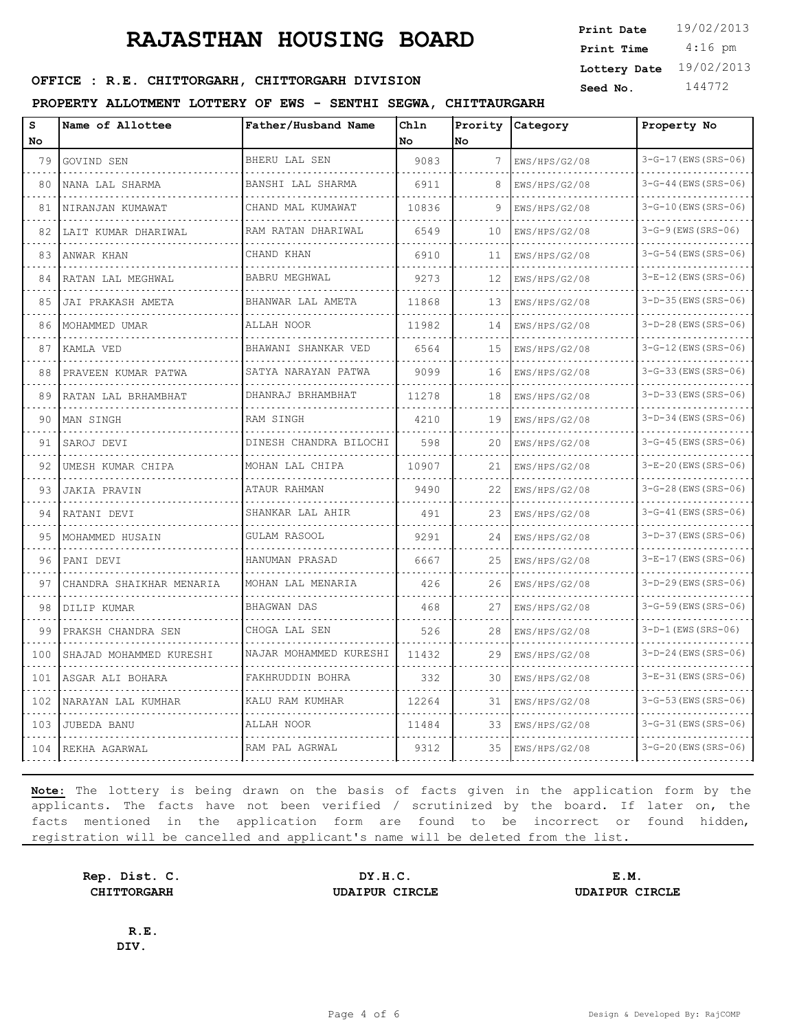4:16 pm **Print Date**  $19/02/2013$ **Print Time Lottery Date** 19/02/2013

#### **SEED OFFICE : R.E. CHITTORGARH, CHITTORGARH DIVISION** Seed No. 144772

**PROPERTY ALLOTMENT LOTTERY OF EWS - SENTHI SEGWA, CHITTAURGARH**

| s<br>No | Name of Allottee         | Father/Husband Name    | Chln<br>No | Prority<br><b>No</b> | Category      | Property No            |
|---------|--------------------------|------------------------|------------|----------------------|---------------|------------------------|
| 79      | GOVIND SEN               | BHERU LAL SEN          | 9083       | 7                    | EWS/HPS/G2/08 | $3-G-17$ (EWS (SRS-06) |
| 80      | NANA LAL SHARMA          | BANSHI LAL SHARMA      | 6911       | 8                    | EWS/HPS/G2/08 | $3-G-44$ (EWS (SRS-06) |
| 81      | NIRANJAN KUMAWAT         | CHAND MAL KUMAWAT      | 10836      | 9                    | EWS/HPS/G2/08 | $3-G-10$ (EWS (SRS-06) |
| 82      | LAIT KUMAR DHARIWAL      | RAM RATAN DHARIWAL     | 6549       | 10                   | EWS/HPS/G2/08 | $3-G-9$ (EWS (SRS-06)  |
| 83      | ANWAR KHAN               | .<br>CHAND KHAN        | 6910       | 11                   | EWS/HPS/G2/08 | $3-G-54$ (EWS (SRS-06) |
| 84      | RATAN LAL MEGHWAL        | <b>BABRU MEGHWAL</b>   | 9273       | 12                   | EWS/HPS/G2/08 | $3-E-12$ (EWS (SRS-06) |
| 85      | JAI PRAKASH AMETA        | BHANWAR LAL AMETA      | 11868      | 13                   | EWS/HPS/G2/08 | $3-D-35$ (EWS (SRS-06) |
| 86      | MOHAMMED UMAR            | ALLAH NOOR             | 11982      | 14                   | EWS/HPS/G2/08 | $3-D-28$ (EWS (SRS-06) |
| 87      | KAMLA VED                | BHAWANI SHANKAR VED    | 6564       | 15                   | EWS/HPS/G2/08 | $3-G-12$ (EWS (SRS-06) |
| 88      | PRAVEEN KUMAR PATWA      | SATYA NARAYAN PATWA    | 9099       | 16                   | EWS/HPS/G2/08 | $3-G-33$ (EWS (SRS-06) |
| 89      | RATAN LAL BRHAMBHAT      | DHANRAJ BRHAMBHAT      | 11278      | 18                   | EWS/HPS/G2/08 | $3-D-33$ (EWS (SRS-06) |
| 90      | MAN SINGH                | RAM SINGH              | 4210       | 19                   | EWS/HPS/G2/08 | $3-D-34$ (EWS (SRS-06) |
| 91      | SAROJ DEVI               | DINESH CHANDRA BILOCHI | 598        | 20                   | EWS/HPS/G2/08 | $3-G-45$ (EWS (SRS-06) |
| 92      | UMESH KUMAR CHIPA        | MOHAN LAL CHIPA        | 10907      | 21                   | EWS/HPS/G2/08 | $3-E-20$ (EWS (SRS-06) |
| 93      | JAKIA PRAVIN             | ATAUR RAHMAN           | 9490       | 22                   | EWS/HPS/G2/08 | $3-G-28$ (EWS (SRS-06) |
| 94      | RATANI DEVI              | SHANKAR LAL AHIR<br>.  | 491        | 23                   | EWS/HPS/G2/08 | $3-G-41$ (EWS (SRS-06) |
| 95      | MOHAMMED HUSAIN          | GULAM RASOOL           | 9291       | 24                   | EWS/HPS/G2/08 | $3-D-37$ (EWS (SRS-06) |
| 96      | PANI DEVI                | HANUMAN PRASAD         | 6667       | 25                   | EWS/HPS/G2/08 | $3-E-17$ (EWS (SRS-06) |
| 97      | CHANDRA SHAIKHAR MENARIA | MOHAN LAL MENARIA      | 426        | 26                   | EWS/HPS/G2/08 | $3-D-29$ (EWS (SRS-06) |
| 98      | DILIP KUMAR              | BHAGWAN DAS            | 468        | 27                   | EWS/HPS/G2/08 | $3-G-59$ (EWS (SRS-06) |
| 99      | PRAKSH CHANDRA SEN       | CHOGA LAL SEN          | 526        | 28                   | EWS/HPS/G2/08 | $3-D-1$ (EWS (SRS-06)  |
| 100     | SHAJAD MOHAMMED KURESHI  | NAJAR MOHAMMED KURESHI | 11432      | 29                   | EWS/HPS/G2/08 | $3-D-24$ (EWS (SRS-06) |
| 101     | ASGAR ALI BOHARA         | FAKHRUDDIN BOHRA       | 332        | 30                   | EWS/HPS/G2/08 | $3-E-31$ (EWS (SRS-06) |
| 102     | NARAYAN LAL KUMHAR       | KALU RAM KUMHAR        | 12264      | 31                   | EWS/HPS/G2/08 | $3-G-53$ (EWS (SRS-06) |
| 103     | JUBEDA BANU              | ALLAH NOOR             | 11484      | 33                   | EWS/HPS/G2/08 | $3-G-31$ (EWS (SRS-06) |
| 104     | REKHA AGARWAL            | RAM PAL AGRWAL         | 9312       | 35.                  | EWS/HPS/G2/08 | $3-G-20$ (EWS (SRS-06) |

**Note:** The lottery is being drawn on the basis of facts given in the application form by the applicants. The facts have not been verified / scrutinized by the board. If later on, the facts mentioned in the application form are found to be incorrect or found hidden, registration will be cancelled and applicant's name will be deleted from the list.

**Rep. Dist. C. DY.H.C. E.M. CHITTORGARH UDAIPUR CIRCLE UDAIPUR CIRCLE**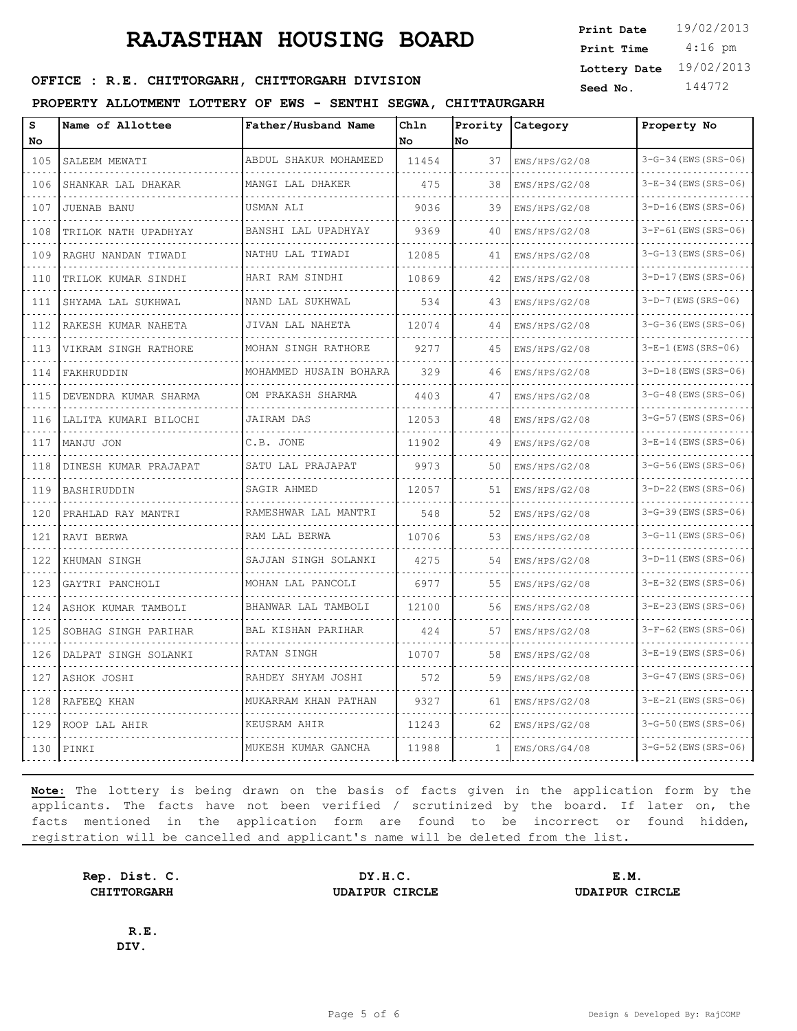4:16 pm **Print Date**  $19/02/2013$ **Print Time Lottery Date** 19/02/2013

#### **SEED OFFICE : R.E. CHITTORGARH, CHITTORGARH DIVISION** Seed No. 144772

#### **PROPERTY ALLOTMENT LOTTERY OF EWS - SENTHI SEGWA, CHITTAURGARH**

| s              | Name of Allottee      | Father/Husband Name      | Chln  | Prority | Category      | Property No            |
|----------------|-----------------------|--------------------------|-------|---------|---------------|------------------------|
| No.            |                       |                          | No.   | No      |               |                        |
| 105            | SALEEM MEWATI         | ABDUL SHAKUR MOHAMEED    | 11454 | 37      | EWS/HPS/G2/08 | $3-G-34$ (EWS (SRS-06) |
| 106            | SHANKAR LAL DHAKAR    | MANGI LAL DHAKER         | 475   | 38      | EWS/HPS/G2/08 | $3-E-34$ (EWS (SRS-06) |
| 107            | JUENAB BANU           | USMAN ALI                | 9036  | 39      | EWS/HPS/G2/08 | $3-D-16$ (EWS (SRS-06) |
| 108            | TRILOK NATH UPADHYAY  | BANSHI LAL UPADHYAY<br>. | 9369  | 40      | EWS/HPS/G2/08 | $3-F-61$ (EWS (SRS-06) |
| 109            | RAGHU NANDAN TIWADI   | NATHU LAL TIWADI         | 12085 | 41      | EWS/HPS/G2/08 | $3-G-13$ (EWS (SRS-06) |
| 110            | TRILOK KUMAR SINDHI   | HARI RAM SINDHI          | 10869 | 42      | EWS/HPS/G2/08 | $3-D-17$ (EWS (SRS-06) |
| 111            | SHYAMA LAL SUKHWAL    | NAND LAL SUKHWAL         | 534   | 43      | EWS/HPS/G2/08 | 3-D-7 (EWS (SRS-06)    |
| 112            | RAKESH KUMAR NAHETA   | JIVAN LAL NAHETA         | 12074 | 44      | EWS/HPS/G2/08 | $3-G-36$ (EWS (SRS-06) |
| 113            | VIKRAM SINGH RATHORE  | MOHAN SINGH RATHORE      | 9277  | 45      | EWS/HPS/G2/08 | $3-E-1$ (EWS (SRS-06)  |
| 114            | FAKHRUDDIN            | MOHAMMED HUSAIN BOHARA   | 329   | 46      | EWS/HPS/G2/08 | $3-D-18$ (EWS (SRS-06) |
| 115            | DEVENDRA KUMAR SHARMA | OM PRAKASH SHARMA        | 4403  | 47      | EWS/HPS/G2/08 | $3-G-48$ (EWS (SRS-06) |
| 116            | LALITA KUMARI BILOCHI | JAIRAM DAS               | 12053 | 48      | EWS/HPS/G2/08 | $3-G-57$ (EWS (SRS-06) |
| 117<br>$- - -$ | MANJU JON             | C.B. JONE                | 11902 | 49      | EWS/HPS/G2/08 | $3-E-14$ (EWS (SRS-06) |
| 118            | DINESH KUMAR PRAJAPAT | SATU LAL PRAJAPAT        | 9973  | 50      | EWS/HPS/G2/08 | $3-G-56$ (EWS (SRS-06) |
| 119            | BASHIRUDDIN           | SAGIR AHMED              | 12057 | 51      | EWS/HPS/G2/08 | $3-D-22$ (EWS (SRS-06) |
| 120            | PRAHLAD RAY MANTRI    | RAMESHWAR LAL MANTRI     | 548   | 52      | EWS/HPS/G2/08 | $3-G-39$ (EWS (SRS-06) |
| 121            | RAVI BERWA            | RAM LAL BERWA            | 10706 | 53      | EWS/HPS/G2/08 | $3-G-11$ (EWS (SRS-06) |
| 122            | KHUMAN SINGH          | SAJJAN SINGH SOLANKI     | 4275  | 54      | EWS/HPS/G2/08 | $3-D-11$ (EWS (SRS-06) |
| 123            | GAYTRI PANCHOLI       | MOHAN LAL PANCOLI        | 6977  | 55      | EWS/HPS/G2/08 | $3-E-32$ (EWS (SRS-06) |
| 124            | ASHOK KUMAR TAMBOLI   | BHANWAR LAL TAMBOLI      | 12100 | 56      | EWS/HPS/G2/08 | $3-E-23$ (EWS (SRS-06) |
| 125            | SOBHAG SINGH PARIHAR  | BAL KISHAN PARIHAR       | 42.4  | 57      | EWS/HPS/G2/08 | $3-F-62$ (EWS (SRS-06) |
| 126            | DALPAT SINGH SOLANKI  | RATAN SINGH              | 10707 | 58      | EWS/HPS/G2/08 | $3-E-19$ (EWS (SRS-06) |
| 127            | ASHOK JOSHI           | RAHDEY SHYAM JOSHI       | 572   | 59      | EWS/HPS/G2/08 | $3-G-47$ (EWS (SRS-06) |
| 128            | RAFEEO KHAN           | MUKARRAM KHAN PATHAN     | 9327  | 61      | EWS/HPS/G2/08 | $3-E-21$ (EWS (SRS-06) |
| 129            | ROOP LAL AHIR         | KEUSRAM AHIR             | 11243 | 62      | EWS/HPS/G2/08 | $3-G-50$ (EWS (SRS-06) |
| 130            | PINKI                 | MUKESH KUMAR GANCHA      | 11988 | 1       | EWS/ORS/G4/08 | $3-G-52$ (EWS (SRS-06) |

**Note:** The lottery is being drawn on the basis of facts given in the application form by the applicants. The facts have not been verified / scrutinized by the board. If later on, the facts mentioned in the application form are found to be incorrect or found hidden, registration will be cancelled and applicant's name will be deleted from the list.

**Rep. Dist. C. DY.H.C. E.M. CHITTORGARH UDAIPUR CIRCLE UDAIPUR CIRCLE**